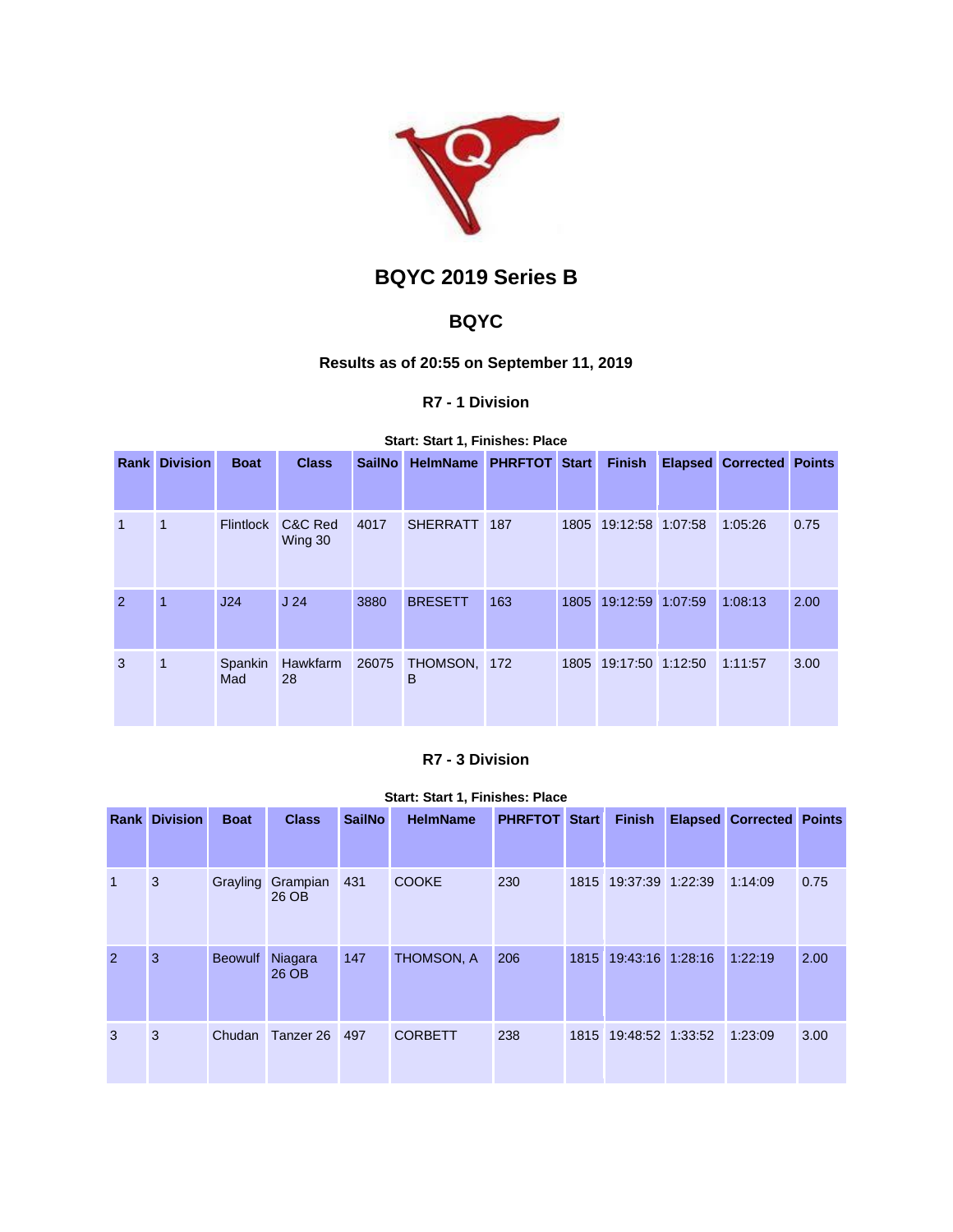

# **BQYC 2019 Series B**

# **BQYC**

# **Results as of 20:55 on September 11, 2019**

### **R7 - 1 Division**

#### **Start: Start 1, Finishes: Place**

|                | <b>Rank Division</b> | <b>Boat</b>      | <b>Class</b>       | <b>SailNo</b> | HelmName PHRFTOT Start |     | <b>Finish</b>         | <b>Elapsed Corrected Points</b> |      |
|----------------|----------------------|------------------|--------------------|---------------|------------------------|-----|-----------------------|---------------------------------|------|
|                |                      |                  |                    |               |                        |     |                       |                                 |      |
| $\overline{1}$ | 1                    | <b>Flintlock</b> | C&C Red<br>Wing 30 | 4017          | SHERRATT 187           |     | 1805 19:12:58 1:07:58 | 1:05:26                         | 0.75 |
| 2              | $\blacktriangleleft$ | J24              | J <sub>24</sub>    | 3880          | <b>BRESETT</b>         | 163 | 1805 19:12:59 1:07:59 | 1:08:13                         | 2.00 |
| 3              | 1                    | Spankin<br>Mad   | Hawkfarm<br>28     | 26075         | THOMSON, 172<br>В      |     | 1805 19:17:50 1:12:50 | 1:11:57                         | 3.00 |

## **R7 - 3 Division**

#### **Start: Start 1, Finishes: Place**

|                | <b>Rank Division</b> | <b>Boat</b>    | <b>Class</b>      | <b>SailNo</b> | <b>HelmName</b> | <b>PHRFTOT Start</b> |      | <b>Finish</b>         | <b>Elapsed Corrected Points</b> |      |
|----------------|----------------------|----------------|-------------------|---------------|-----------------|----------------------|------|-----------------------|---------------------------------|------|
| $\mathbf{1}$   | 3                    | Grayling       | Grampian<br>26 OB | 431           | <b>COOKE</b>    | 230                  |      | 1815 19:37:39 1:22:39 | 1:14:09                         | 0.75 |
| $\overline{2}$ | 3                    | <b>Beowulf</b> | Niagara<br>26 OB  | 147           | THOMSON, A      | 206                  | 1815 | 19:43:16 1:28:16      | 1:22:19                         | 2.00 |
| 3              | 3                    | Chudan         | Tanzer 26 497     |               | <b>CORBETT</b>  | 238                  |      | 1815 19:48:52 1:33:52 | 1:23:09                         | 3.00 |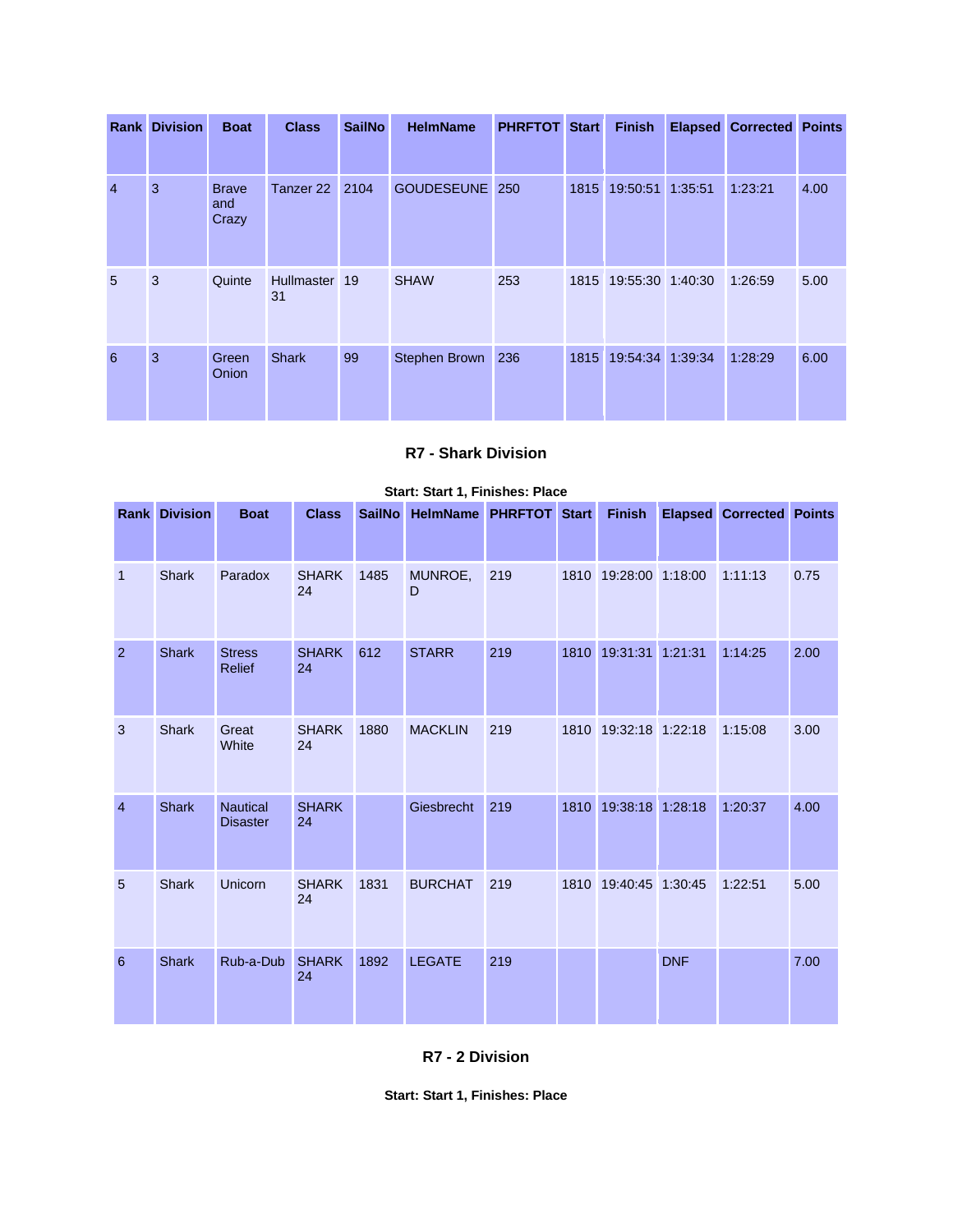|                | <b>Rank Division</b> | <b>Boat</b>                  | <b>Class</b>        | <b>SailNo</b> | <b>HelmName</b>   | <b>PHRFTOT Start</b> |      | <b>Finish</b>         | <b>Elapsed Corrected Points</b> |      |
|----------------|----------------------|------------------------------|---------------------|---------------|-------------------|----------------------|------|-----------------------|---------------------------------|------|
| $\overline{4}$ | 3                    | <b>Brave</b><br>and<br>Crazy | Tanzer 22 2104      |               | <b>GOUDESEUNE</b> | 250                  | 1815 | 19:50:51 1:35:51      | 1:23:21                         | 4.00 |
| 5              | 3                    | Quinte                       | Hullmaster 19<br>31 |               | <b>SHAW</b>       | 253                  |      | 1815 19:55:30 1:40:30 | 1:26:59                         | 5.00 |
| 6              | 3                    | Green<br><b>Onion</b>        | <b>Shark</b>        | 99            | Stephen Brown 236 |                      | 1815 | 19:54:34 1:39:34      | 1:28:29                         | 6.00 |

### **R7 - Shark Division**

|                | <b>Rank Division</b> | <b>Boat</b>                        | <b>Class</b>       |      | SailNo HelmName PHRFTOT Start |     |                               |            | Finish Elapsed Corrected Points |      |
|----------------|----------------------|------------------------------------|--------------------|------|-------------------------------|-----|-------------------------------|------------|---------------------------------|------|
|                |                      |                                    |                    |      |                               |     |                               |            |                                 |      |
| $\overline{1}$ | Shark                | Paradox                            | <b>SHARK</b><br>24 | 1485 | MUNROE,<br>D                  | 219 | 1810 19:28:00 1:18:00 1:11:13 |            |                                 | 0.75 |
| $\overline{2}$ | <b>Shark</b>         | <b>Stress</b><br>Relief            | <b>SHARK</b><br>24 | 612  | <b>STARR</b>                  | 219 | 1810 19:31:31                 | 1:21:31    | 1:14:25                         | 2.00 |
| 3              | <b>Shark</b>         | Great<br>White                     | <b>SHARK</b><br>24 | 1880 | <b>MACKLIN</b>                | 219 | 1810 19:32:18 1:22:18         |            | 1:15:08                         | 3.00 |
| $\overline{4}$ | <b>Shark</b>         | <b>Nautical</b><br><b>Disaster</b> | <b>SHARK</b><br>24 |      | Giesbrecht                    | 219 | 1810 19:38:18 1:28:18         |            | 1:20:37                         | 4.00 |
| 5              | Shark                | Unicorn                            | <b>SHARK</b><br>24 | 1831 | <b>BURCHAT</b>                | 219 | 1810 19:40:45 1:30:45         |            | 1:22:51                         | 5.00 |
| 6              | <b>Shark</b>         | Rub-a-Dub                          | <b>SHARK</b><br>24 | 1892 | <b>LEGATE</b>                 | 219 |                               | <b>DNF</b> |                                 | 7.00 |

#### **Start: Start 1, Finishes: Place**

**R7 - 2 Division**

**Start: Start 1, Finishes: Place**